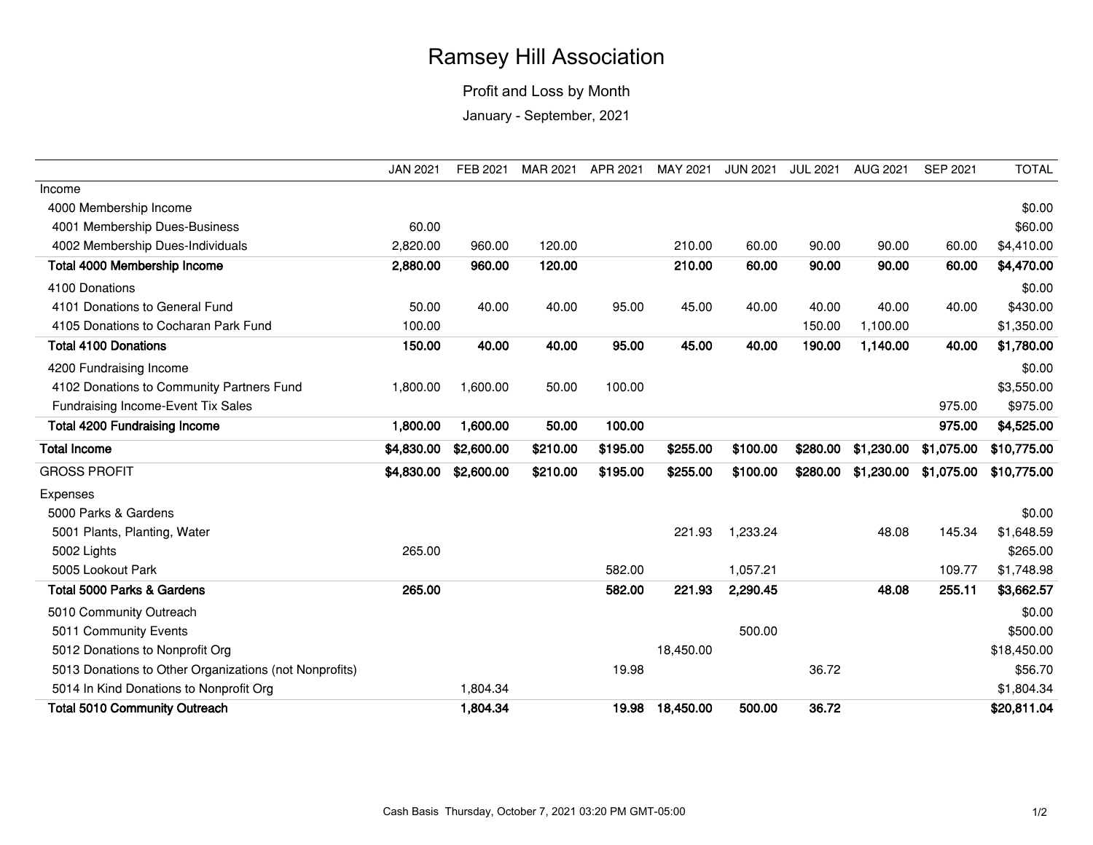## Ramsey Hill Association

## Profit and Loss by Month

January - September, 2021

|                                                        | <b>JAN 2021</b> | FEB 2021   | MAR 2021 | APR 2021 | MAY 2021  | <b>JUN 2021</b> | <b>JUL 2021</b> | AUG 2021   | <b>SEP 2021</b> | <b>TOTAL</b> |
|--------------------------------------------------------|-----------------|------------|----------|----------|-----------|-----------------|-----------------|------------|-----------------|--------------|
| Income                                                 |                 |            |          |          |           |                 |                 |            |                 |              |
| 4000 Membership Income                                 |                 |            |          |          |           |                 |                 |            |                 | \$0.00       |
| 4001 Membership Dues-Business                          | 60.00           |            |          |          |           |                 |                 |            |                 | \$60.00      |
| 4002 Membership Dues-Individuals                       | 2,820.00        | 960.00     | 120.00   |          | 210.00    | 60.00           | 90.00           | 90.00      | 60.00           | \$4,410.00   |
| Total 4000 Membership Income                           | 2,880.00        | 960.00     | 120.00   |          | 210.00    | 60.00           | 90.00           | 90.00      | 60.00           | \$4,470.00   |
| 4100 Donations                                         |                 |            |          |          |           |                 |                 |            |                 | \$0.00       |
| 4101 Donations to General Fund                         | 50.00           | 40.00      | 40.00    | 95.00    | 45.00     | 40.00           | 40.00           | 40.00      | 40.00           | \$430.00     |
| 4105 Donations to Cocharan Park Fund                   | 100.00          |            |          |          |           |                 | 150.00          | 1,100.00   |                 | \$1,350.00   |
| <b>Total 4100 Donations</b>                            | 150.00          | 40.00      | 40.00    | 95.00    | 45.00     | 40.00           | 190.00          | 1,140.00   | 40.00           | \$1,780.00   |
| 4200 Fundraising Income                                |                 |            |          |          |           |                 |                 |            |                 | \$0.00       |
| 4102 Donations to Community Partners Fund              | 1,800.00        | 1,600.00   | 50.00    | 100.00   |           |                 |                 |            |                 | \$3,550.00   |
| Fundraising Income-Event Tix Sales                     |                 |            |          |          |           |                 |                 |            | 975.00          | \$975.00     |
| <b>Total 4200 Fundraising Income</b>                   | 1,800.00        | 1,600.00   | 50.00    | 100.00   |           |                 |                 |            | 975.00          | \$4,525.00   |
| <b>Total Income</b>                                    | \$4,830.00      | \$2,600.00 | \$210.00 | \$195.00 | \$255.00  | \$100.00        | \$280.00        | \$1,230.00 | \$1,075.00      | \$10,775.00  |
| <b>GROSS PROFIT</b>                                    | \$4,830.00      | \$2,600.00 | \$210.00 | \$195.00 | \$255.00  | \$100.00        | \$280.00        | \$1,230.00 | \$1,075.00      | \$10,775.00  |
|                                                        |                 |            |          |          |           |                 |                 |            |                 |              |
| Expenses                                               |                 |            |          |          |           |                 |                 |            |                 |              |
| 5000 Parks & Gardens                                   |                 |            |          |          |           |                 |                 |            |                 | \$0.00       |
| 5001 Plants, Planting, Water                           |                 |            |          |          | 221.93    | 1,233.24        |                 | 48.08      | 145.34          | \$1,648.59   |
| 5002 Lights                                            | 265.00          |            |          |          |           |                 |                 |            |                 | \$265.00     |
| 5005 Lookout Park                                      |                 |            |          | 582.00   |           | 1,057.21        |                 |            | 109.77          | \$1,748.98   |
| <b>Total 5000 Parks &amp; Gardens</b>                  | 265.00          |            |          | 582.00   | 221.93    | 2,290.45        |                 | 48.08      | 255.11          | \$3,662.57   |
| 5010 Community Outreach                                |                 |            |          |          |           |                 |                 |            |                 | \$0.00       |
| 5011 Community Events                                  |                 |            |          |          |           | 500.00          |                 |            |                 | \$500.00     |
| 5012 Donations to Nonprofit Org                        |                 |            |          |          | 18,450.00 |                 |                 |            |                 | \$18,450.00  |
| 5013 Donations to Other Organizations (not Nonprofits) |                 |            |          | 19.98    |           |                 | 36.72           |            |                 | \$56.70      |
| 5014 In Kind Donations to Nonprofit Org                |                 | 1,804.34   |          |          |           |                 |                 |            |                 | \$1,804.34   |